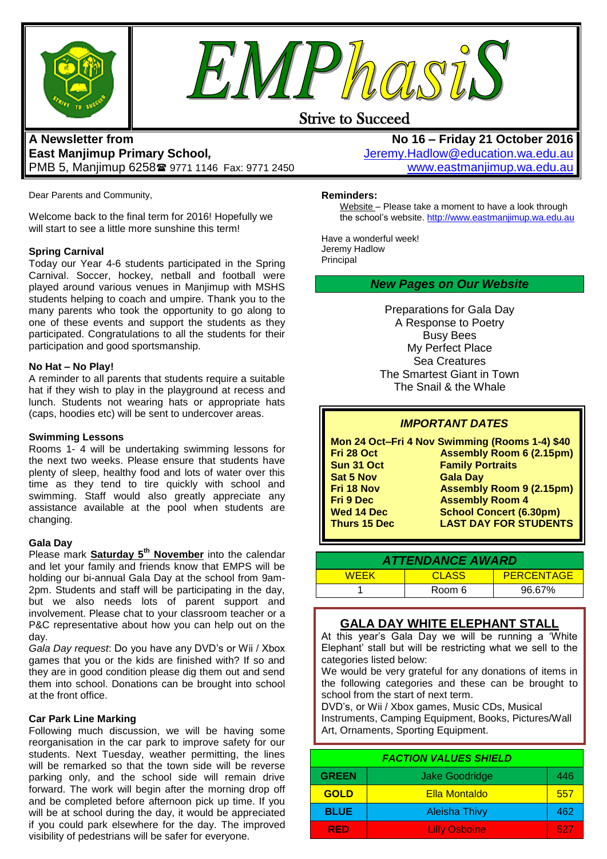



## Strive to Succeed

## **A Newsletter from East Manjimup Primary School***,*  PMB 5, Manjimup 6258 9771 1146 Fax: 9771 2450

Dear Parents and Community,

Welcome back to the final term for 2016! Hopefully we will start to see a little more sunshine this term!

### **Spring Carnival**

Today our Year 4-6 students participated in the Spring Carnival. Soccer, hockey, netball and football were played around various venues in Manjimup with MSHS students helping to coach and umpire. Thank you to the many parents who took the opportunity to go along to one of these events and support the students as they participated. Congratulations to all the students for their participation and good sportsmanship.

#### **No Hat – No Play!**

A reminder to all parents that students require a suitable hat if they wish to play in the playground at recess and lunch. Students not wearing hats or appropriate hats (caps, hoodies etc) will be sent to undercover areas.

#### **Swimming Lessons**

Rooms 1- 4 will be undertaking swimming lessons for the next two weeks. Please ensure that students have plenty of sleep, healthy food and lots of water over this time as they tend to tire quickly with school and swimming. Staff would also greatly appreciate any assistance available at the pool when students are changing.

#### **Gala Day**

Please mark **Saturday 5th November** into the calendar and let your family and friends know that EMPS will be holding our bi-annual Gala Day at the school from 9am-2pm. Students and staff will be participating in the day, but we also needs lots of parent support and involvement. Please chat to your classroom teacher or a P&C representative about how you can help out on the day.

*Gala Day request*: Do you have any DVD's or Wii / Xbox games that you or the kids are finished with? If so and they are in good condition please dig them out and send them into school. Donations can be brought into school at the front office.

#### **Car Park Line Marking**

Following much discussion, we will be having some reorganisation in the car park to improve safety for our students. Next Tuesday, weather permitting, the lines will be remarked so that the town side will be reverse parking only, and the school side will remain drive forward. The work will begin after the morning drop off and be completed before afternoon pick up time. If you will be at school during the day, it would be appreciated if you could park elsewhere for the day. The improved visibility of pedestrians will be safer for everyone.

**No 16 – Friday 21 October 2016** [Jeremy.Hadlow@education.wa.edu.au](mailto:Jeremy.Hadlow@education.wa.edu.au) [www.eastmanjimup.wa.edu.au](http://www.eastmanjimup.wa.edu.au/)

## **Reminders:**

Website – Please take a moment to have a look through the school's website. [http://www.eastmanjimup.wa.edu.au](http://www.eastmanjimup.wa.edu.au/)

Have a wonderful week! Jeremy Hadlow Principal

## *New Pages on Our Website*

Preparations for Gala Day A Response to Poetry Busy Bees My Perfect Place Sea Creatures The Smartest Giant in Town The Snail & the Whale

## *IMPORTANT DATES*

|                     | Mon 24 Oct-Fri 4 Nov Swimming (Rooms 1-4) \$40 |
|---------------------|------------------------------------------------|
| Fri 28 Oct          | <b>Assembly Room 6 (2.15pm)</b>                |
| Sun 31 Oct          | <b>Family Portraits</b>                        |
| <b>Sat 5 Nov</b>    | <b>Gala Day</b>                                |
| Fri 18 Nov          | <b>Assembly Room 9 (2.15pm)</b>                |
| <b>Fri 9 Dec</b>    | <b>Assembly Room 4</b>                         |
| <b>Wed 14 Dec</b>   | <b>School Concert (6.30pm)</b>                 |
| <b>Thurs 15 Dec</b> | <b>LAST DAY FOR STUDENTS</b>                   |
|                     |                                                |

| <b>ATTENDANCE AWARD</b> |              |            |  |
|-------------------------|--------------|------------|--|
| <b>WEEK</b>             | <b>CLASS</b> | PERCENTAGE |  |
|                         | Room 6       | 96.67%     |  |

## **GALA DAY WHITE ELEPHANT STALL**

At this year's Gala Day we will be running a 'White Elephant' stall but will be restricting what we sell to the categories listed below:

We would be very grateful for any donations of items in the following categories and these can be brought to school from the start of next term.

DVD's, or Wii / Xbox games, Music CDs, Musical Instruments, Camping Equipment, Books, Pictures/Wall Art, Ornaments, Sporting Equipment.

| <b>FACTION VALUES SHIELD</b> |                       |     |
|------------------------------|-----------------------|-----|
| <b>GREEN</b>                 | <b>Jake Goodridge</b> | 446 |
| <b>GOLD</b>                  | <b>Ella Montaldo</b>  | 557 |
| <b>BLUE</b>                  | <b>Aleisha Thivy</b>  | 462 |
| <b>RED</b>                   | <b>Lilly Osboine</b>  | 527 |